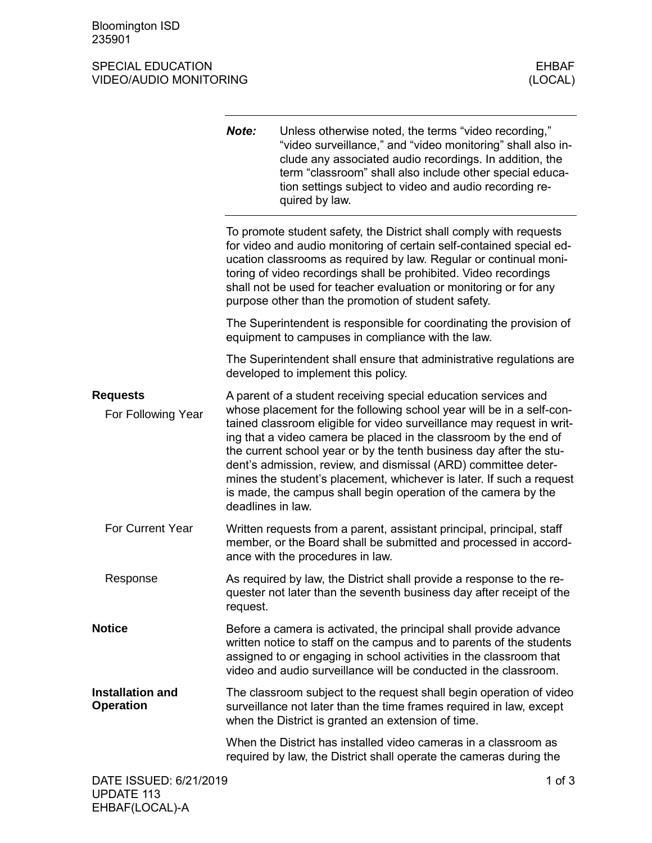## SPECIAL EDUCATION EHBAF VIDEO/AUDIO MONITORING

|                                             | Note:                                                                                                                                                                                                                                                                                                                                                                                                           | Unless otherwise noted, the terms "video recording,"<br>"video surveillance," and "video monitoring" shall also in-<br>clude any associated audio recordings. In addition, the<br>term "classroom" shall also include other special educa-<br>tion settings subject to video and audio recording re-<br>quired by law.                                                                                                                                                                                                                                                 |
|---------------------------------------------|-----------------------------------------------------------------------------------------------------------------------------------------------------------------------------------------------------------------------------------------------------------------------------------------------------------------------------------------------------------------------------------------------------------------|------------------------------------------------------------------------------------------------------------------------------------------------------------------------------------------------------------------------------------------------------------------------------------------------------------------------------------------------------------------------------------------------------------------------------------------------------------------------------------------------------------------------------------------------------------------------|
|                                             | To promote student safety, the District shall comply with requests<br>for video and audio monitoring of certain self-contained special ed-<br>ucation classrooms as required by law. Regular or continual moni-<br>toring of video recordings shall be prohibited. Video recordings<br>shall not be used for teacher evaluation or monitoring or for any<br>purpose other than the promotion of student safety. |                                                                                                                                                                                                                                                                                                                                                                                                                                                                                                                                                                        |
|                                             |                                                                                                                                                                                                                                                                                                                                                                                                                 | The Superintendent is responsible for coordinating the provision of<br>equipment to campuses in compliance with the law.                                                                                                                                                                                                                                                                                                                                                                                                                                               |
|                                             |                                                                                                                                                                                                                                                                                                                                                                                                                 | The Superintendent shall ensure that administrative regulations are<br>developed to implement this policy.                                                                                                                                                                                                                                                                                                                                                                                                                                                             |
| <b>Requests</b><br>For Following Year       | deadlines in law.                                                                                                                                                                                                                                                                                                                                                                                               | A parent of a student receiving special education services and<br>whose placement for the following school year will be in a self-con-<br>tained classroom eligible for video surveillance may request in writ-<br>ing that a video camera be placed in the classroom by the end of<br>the current school year or by the tenth business day after the stu-<br>dent's admission, review, and dismissal (ARD) committee deter-<br>mines the student's placement, whichever is later. If such a request<br>is made, the campus shall begin operation of the camera by the |
| For Current Year                            |                                                                                                                                                                                                                                                                                                                                                                                                                 | Written requests from a parent, assistant principal, principal, staff<br>member, or the Board shall be submitted and processed in accord-<br>ance with the procedures in law.                                                                                                                                                                                                                                                                                                                                                                                          |
| Response                                    | request.                                                                                                                                                                                                                                                                                                                                                                                                        | As required by law, the District shall provide a response to the re-<br>quester not later than the seventh business day after receipt of the                                                                                                                                                                                                                                                                                                                                                                                                                           |
| <b>Notice</b>                               |                                                                                                                                                                                                                                                                                                                                                                                                                 | Before a camera is activated, the principal shall provide advance<br>written notice to staff on the campus and to parents of the students<br>assigned to or engaging in school activities in the classroom that<br>video and audio surveillance will be conducted in the classroom.                                                                                                                                                                                                                                                                                    |
| <b>Installation and</b><br><b>Operation</b> |                                                                                                                                                                                                                                                                                                                                                                                                                 | The classroom subject to the request shall begin operation of video<br>surveillance not later than the time frames required in law, except<br>when the District is granted an extension of time.                                                                                                                                                                                                                                                                                                                                                                       |
|                                             |                                                                                                                                                                                                                                                                                                                                                                                                                 | When the District has installed video cameras in a classroom as<br>required by law, the District shall operate the cameras during the                                                                                                                                                                                                                                                                                                                                                                                                                                  |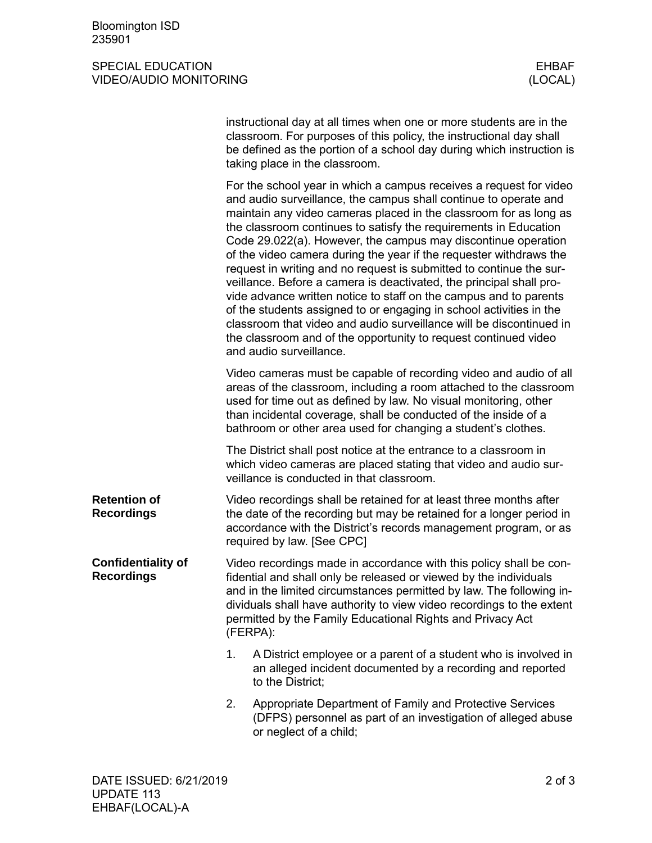## SPECIAL EDUCATION EHBAF VIDEO/AUDIO MONITORING

|                                                |                                                                                                                                                                                                                                                                                                                                                                    | instructional day at all times when one or more students are in the<br>classroom. For purposes of this policy, the instructional day shall<br>be defined as the portion of a school day during which instruction is<br>taking place in the classroom.                                                                                                                                                                                                                                                                                                                                                                                                                                                                                                                                                                                                                                 |
|------------------------------------------------|--------------------------------------------------------------------------------------------------------------------------------------------------------------------------------------------------------------------------------------------------------------------------------------------------------------------------------------------------------------------|---------------------------------------------------------------------------------------------------------------------------------------------------------------------------------------------------------------------------------------------------------------------------------------------------------------------------------------------------------------------------------------------------------------------------------------------------------------------------------------------------------------------------------------------------------------------------------------------------------------------------------------------------------------------------------------------------------------------------------------------------------------------------------------------------------------------------------------------------------------------------------------|
|                                                |                                                                                                                                                                                                                                                                                                                                                                    | For the school year in which a campus receives a request for video<br>and audio surveillance, the campus shall continue to operate and<br>maintain any video cameras placed in the classroom for as long as<br>the classroom continues to satisfy the requirements in Education<br>Code 29.022(a). However, the campus may discontinue operation<br>of the video camera during the year if the requester withdraws the<br>request in writing and no request is submitted to continue the sur-<br>veillance. Before a camera is deactivated, the principal shall pro-<br>vide advance written notice to staff on the campus and to parents<br>of the students assigned to or engaging in school activities in the<br>classroom that video and audio surveillance will be discontinued in<br>the classroom and of the opportunity to request continued video<br>and audio surveillance. |
|                                                |                                                                                                                                                                                                                                                                                                                                                                    | Video cameras must be capable of recording video and audio of all<br>areas of the classroom, including a room attached to the classroom<br>used for time out as defined by law. No visual monitoring, other<br>than incidental coverage, shall be conducted of the inside of a<br>bathroom or other area used for changing a student's clothes.                                                                                                                                                                                                                                                                                                                                                                                                                                                                                                                                       |
|                                                |                                                                                                                                                                                                                                                                                                                                                                    | The District shall post notice at the entrance to a classroom in<br>which video cameras are placed stating that video and audio sur-<br>veillance is conducted in that classroom.                                                                                                                                                                                                                                                                                                                                                                                                                                                                                                                                                                                                                                                                                                     |
| <b>Retention of</b><br><b>Recordings</b>       |                                                                                                                                                                                                                                                                                                                                                                    | Video recordings shall be retained for at least three months after<br>the date of the recording but may be retained for a longer period in<br>accordance with the District's records management program, or as<br>required by law. [See CPC]                                                                                                                                                                                                                                                                                                                                                                                                                                                                                                                                                                                                                                          |
| <b>Confidentiality of</b><br><b>Recordings</b> | Video recordings made in accordance with this policy shall be con-<br>fidential and shall only be released or viewed by the individuals<br>and in the limited circumstances permitted by law. The following in-<br>dividuals shall have authority to view video recordings to the extent<br>permitted by the Family Educational Rights and Privacy Act<br>(FERPA): |                                                                                                                                                                                                                                                                                                                                                                                                                                                                                                                                                                                                                                                                                                                                                                                                                                                                                       |
|                                                | 1.                                                                                                                                                                                                                                                                                                                                                                 | A District employee or a parent of a student who is involved in<br>an alleged incident documented by a recording and reported<br>to the District;                                                                                                                                                                                                                                                                                                                                                                                                                                                                                                                                                                                                                                                                                                                                     |
|                                                | 2.                                                                                                                                                                                                                                                                                                                                                                 | Appropriate Department of Family and Protective Services<br>(DFPS) personnel as part of an investigation of alleged abuse<br>or neglect of a child;                                                                                                                                                                                                                                                                                                                                                                                                                                                                                                                                                                                                                                                                                                                                   |
|                                                |                                                                                                                                                                                                                                                                                                                                                                    |                                                                                                                                                                                                                                                                                                                                                                                                                                                                                                                                                                                                                                                                                                                                                                                                                                                                                       |